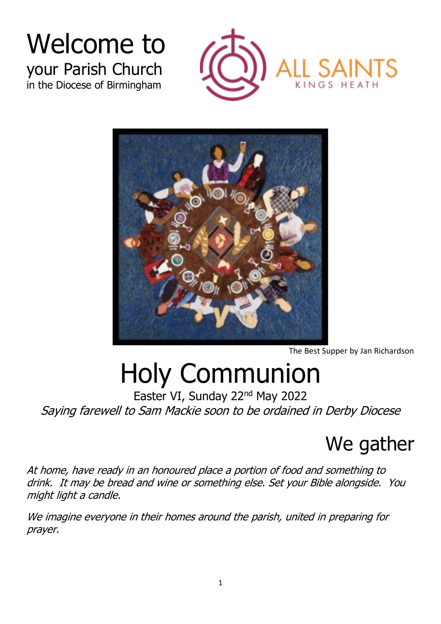### Welcome to your Parish Church in the Diocese of Birmingham





The Best Supper by Jan Richardson

# Holy Communion

Easter VI, Sunday 22nd May 2022 Saying farewell to Sam Mackie soon to be ordained in Derby Diocese

# We gather

At home, have ready in an honoured place a portion of food and something to drink. It may be bread and wine or something else. Set your Bible alongside. You might light a candle.

We imagine everyone in their homes around the parish, united in preparing for prayer.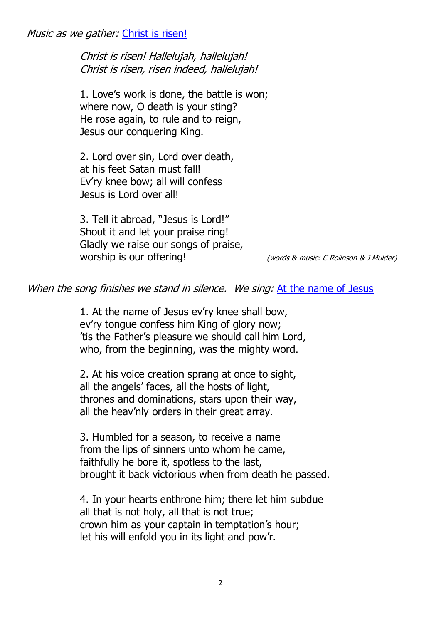Music as we gather: [Christ is risen!](https://soundcloud.com/all-saints-kings-heath/christ-is-risen?)

Christ is risen! Hallelujah, hallelujah! Christ is risen, risen indeed, hallelujah!

1. Love's work is done, the battle is won; where now, O death is your sting? He rose again, to rule and to reign, Jesus our conquering King.

2. Lord over sin, Lord over death, at his feet Satan must fall! Ev'ry knee bow; all will confess Jesus is Lord over all!

3. Tell it abroad, "Jesus is Lord!" Shout it and let your praise ring! Gladly we raise our songs of praise, worship is our offering!<br> *(words & music: C Rolinson & J Mulder)* 

#### When the song finishes we stand in silence. We sing: [At the name of Jesus](https://soundcloud.com/all-saints-kings-heath/at-the-name-of-jesus?)

1. At the name of Jesus ev'ry knee shall bow, ev'ry tongue confess him King of glory now; 'tis the Father's pleasure we should call him Lord, who, from the beginning, was the mighty word.

2. At his voice creation sprang at once to sight, all the angels' faces, all the hosts of light, thrones and dominations, stars upon their way, all the heav'nly orders in their great array.

3. Humbled for a season, to receive a name from the lips of sinners unto whom he came, faithfully he bore it, spotless to the last, brought it back victorious when from death he passed.

4. In your hearts enthrone him; there let him subdue all that is not holy, all that is not true; crown him as your captain in temptation's hour; let his will enfold you in its light and pow'r.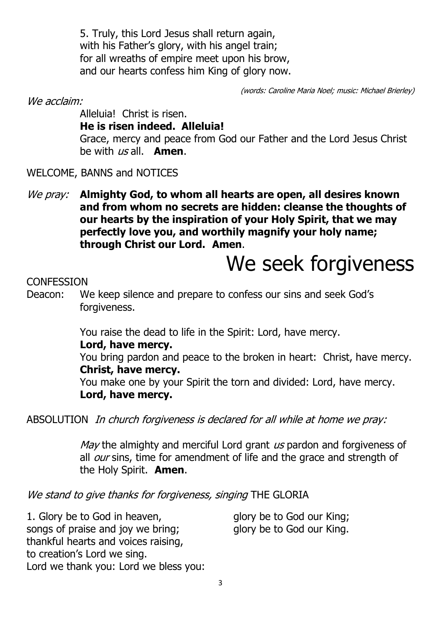5. Truly, this Lord Jesus shall return again, with his Father's glory, with his angel train; for all wreaths of empire meet upon his brow, and our hearts confess him King of glory now.

(words: Caroline Maria Noel; music: Michael Brierley)

#### We acclaim:

Alleluia! Christ is risen. **He is risen indeed. Alleluia!** Grace, mercy and peace from God our Father and the Lord Jesus Christ be with us all. **Amen**.

- WELCOME, BANNS and NOTICES
- We pray: **Almighty God, to whom all hearts are open, all desires known and from whom no secrets are hidden: cleanse the thoughts of our hearts by the inspiration of your Holy Spirit, that we may perfectly love you, and worthily magnify your holy name; through Christ our Lord. Amen**.

# We seek forgiveness

**CONFESSION** 

Deacon: We keep silence and prepare to confess our sins and seek God's forgiveness.

You raise the dead to life in the Spirit: Lord, have mercy.

#### **Lord, have mercy.**

You bring pardon and peace to the broken in heart: Christ, have mercy. **Christ, have mercy.**

You make one by your Spirit the torn and divided: Lord, have mercy. **Lord, have mercy.**

ABSOLUTION In church forgiveness is declared for all while at home we pray:

May the almighty and merciful Lord grant us pardon and forgiveness of all *our* sins, time for amendment of life and the grace and strength of the Holy Spirit. **Amen**.

We stand to give thanks for forgiveness, singing THE GLORIA

| 1. Glory be to God in heaven,         | glory be to God our King; |
|---------------------------------------|---------------------------|
| songs of praise and joy we bring;     | glory be to God our King. |
| thankful hearts and voices raising,   |                           |
| to creation's Lord we sing.           |                           |
| Lord we thank you: Lord we bless you: |                           |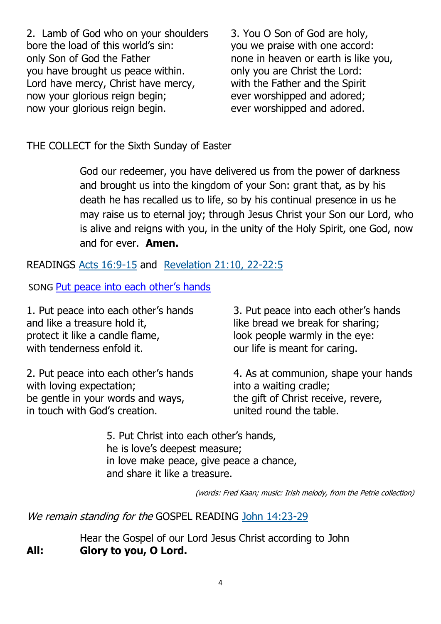2. Lamb of God who on your shoulders bore the load of this world's sin: only Son of God the Father you have brought us peace within. Lord have mercy, Christ have mercy, now your glorious reign begin; now your glorious reign begin.

3. You O Son of God are holy, you we praise with one accord: none in heaven or earth is like you, only you are Christ the Lord: with the Father and the Spirit ever worshipped and adored; ever worshipped and adored.

THE COLLECT for the Sixth Sunday of Easter

God our redeemer, you have delivered us from the power of darkness and brought us into the kingdom of your Son: grant that, as by his death he has recalled us to life, so by his continual presence in us he may raise us to eternal joy; through Jesus Christ your Son our Lord, who is alive and reigns with you, in the unity of the Holy Spirit, one God, now and for ever. **Amen.**

READINGS [Acts 16:9-15](https://www.biblegateway.com/passage/?search=Acts+16%3A9-15&version=NRSVA) and [Revelation 21:10, 22-22:5](https://www.biblegateway.com/passage/?search=Revelation+21%3A10%2C+21%3A22-22%3A5+&version=NRSVA)

SONG [Put peace into each other's hands](https://soundcloud.com/all-saints-kings-heath/put-peace-into-each-others?)

1. Put peace into each other's hands and like a treasure hold it, protect it like a candle flame, with tenderness enfold it.

2. Put peace into each other's hands with loving expectation; be gentle in your words and ways, in touch with God's creation.

3. Put peace into each other's hands like bread we break for sharing; look people warmly in the eye: our life is meant for caring.

4. As at communion, shape your hands into a waiting cradle; the gift of Christ receive, revere, united round the table.

5. Put Christ into each other's hands, he is love's deepest measure; in love make peace, give peace a chance, and share it like a treasure.

(words: Fred Kaan; music: Irish melody, from the Petrie collection)

We remain standing for the GOSPEL READING [John 14:23-29](https://www.biblegateway.com/passage/?search=John+14%3A23-29&version=NRSVA)

Hear the Gospel of our Lord Jesus Christ according to John **All: Glory to you, O Lord.**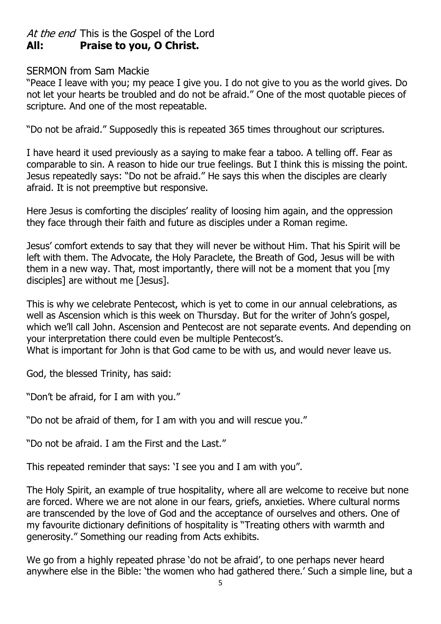#### At the end This is the Gospel of the Lord **All: Praise to you, O Christ.**

#### SERMON from Sam Mackie

"Peace I leave with you; my peace I give you. I do not give to you as the world gives. Do not let your hearts be troubled and do not be afraid." One of the most quotable pieces of scripture. And one of the most repeatable.

"Do not be afraid." Supposedly this is repeated 365 times throughout our scriptures.

I have heard it used previously as a saying to make fear a taboo. A telling off. Fear as comparable to sin. A reason to hide our true feelings. But I think this is missing the point. Jesus repeatedly says: "Do not be afraid." He says this when the disciples are clearly afraid. It is not preemptive but responsive.

Here Jesus is comforting the disciples' reality of loosing him again, and the oppression they face through their faith and future as disciples under a Roman regime.

Jesus' comfort extends to say that they will never be without Him. That his Spirit will be left with them. The Advocate, the Holy Paraclete, the Breath of God, Jesus will be with them in a new way. That, most importantly, there will not be a moment that you [my disciples] are without me [Jesus].

This is why we celebrate Pentecost, which is yet to come in our annual celebrations, as well as Ascension which is this week on Thursday. But for the writer of John's gospel, which we'll call John. Ascension and Pentecost are not separate events. And depending on your interpretation there could even be multiple Pentecost's. What is important for John is that God came to be with us, and would never leave us.

God, the blessed Trinity, has said:

"Don't be afraid, for I am with you."

"Do not be afraid of them, for I am with you and will rescue you."

"Do not be afraid. I am the First and the Last."

This repeated reminder that says: 'I see you and I am with you".

The Holy Spirit, an example of true hospitality, where all are welcome to receive but none are forced. Where we are not alone in our fears, griefs, anxieties. Where cultural norms are transcended by the love of God and the acceptance of ourselves and others. One of my favourite dictionary definitions of hospitality is "Treating others with warmth and generosity." Something our reading from Acts exhibits.

We go from a highly repeated phrase 'do not be afraid', to one perhaps never heard anywhere else in the Bible: 'the women who had gathered there.' Such a simple line, but a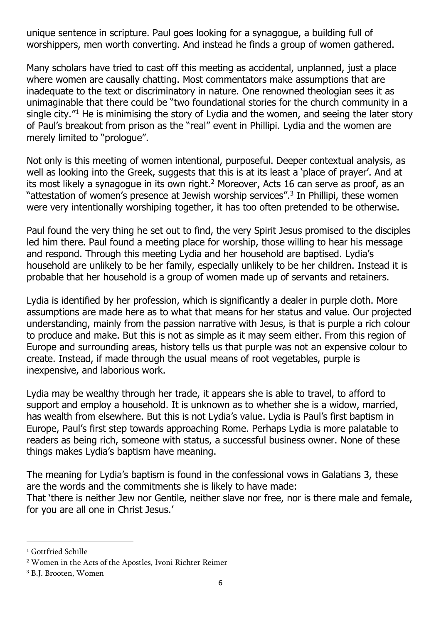unique sentence in scripture. Paul goes looking for a synagogue, a building full of worshippers, men worth converting. And instead he finds a group of women gathered.

Many scholars have tried to cast off this meeting as accidental, unplanned, just a place where women are causally chatting. Most commentators make assumptions that are inadequate to the text or discriminatory in nature. One renowned theologian sees it as unimaginable that there could be "two foundational stories for the church community in a single city. $11$  He is minimising the story of Lydia and the women, and seeing the later story of Paul's breakout from prison as the "real" event in Phillipi. Lydia and the women are merely limited to "prologue".

Not only is this meeting of women intentional, purposeful. Deeper contextual analysis, as well as looking into the Greek, suggests that this is at its least a 'place of prayer'. And at its most likely a synagogue in its own right.<sup>2</sup> Moreover, Acts 16 can serve as proof, as an "attestation of women's presence at Jewish worship services".<sup>3</sup> In Phillipi, these women were very intentionally worshiping together, it has too often pretended to be otherwise.

Paul found the very thing he set out to find, the very Spirit Jesus promised to the disciples led him there. Paul found a meeting place for worship, those willing to hear his message and respond. Through this meeting Lydia and her household are baptised. Lydia's household are unlikely to be her family, especially unlikely to be her children. Instead it is probable that her household is a group of women made up of servants and retainers.

Lydia is identified by her profession, which is significantly a dealer in purple cloth. More assumptions are made here as to what that means for her status and value. Our projected understanding, mainly from the passion narrative with Jesus, is that is purple a rich colour to produce and make. But this is not as simple as it may seem either. From this region of Europe and surrounding areas, history tells us that purple was not an expensive colour to create. Instead, if made through the usual means of root vegetables, purple is inexpensive, and laborious work.

Lydia may be wealthy through her trade, it appears she is able to travel, to afford to support and employ a household. It is unknown as to whether she is a widow, married, has wealth from elsewhere. But this is not Lydia's value. Lydia is Paul's first baptism in Europe, Paul's first step towards approaching Rome. Perhaps Lydia is more palatable to readers as being rich, someone with status, a successful business owner. None of these things makes Lydia's baptism have meaning.

The meaning for Lydia's baptism is found in the confessional vows in Galatians 3, these are the words and the commitments she is likely to have made: That 'there is neither Jew nor Gentile, neither slave nor free, nor is there male and female, for you are all one in Christ Jesus.'

<sup>&</sup>lt;sup>1</sup> Gottfried Schille

<sup>2</sup> Women in the Acts of the Apostles, Ivoni Richter Reimer

<sup>3</sup> B.J. Brooten, Women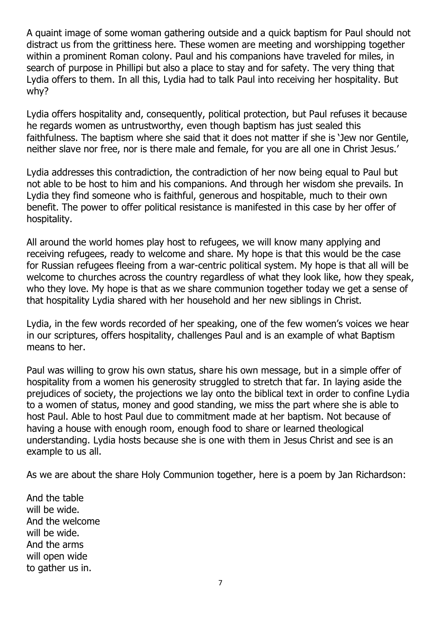A quaint image of some woman gathering outside and a quick baptism for Paul should not distract us from the grittiness here. These women are meeting and worshipping together within a prominent Roman colony. Paul and his companions have traveled for miles, in search of purpose in Phillipi but also a place to stay and for safety. The very thing that Lydia offers to them. In all this, Lydia had to talk Paul into receiving her hospitality. But why?

Lydia offers hospitality and, consequently, political protection, but Paul refuses it because he regards women as untrustworthy, even though baptism has just sealed this faithfulness. The baptism where she said that it does not matter if she is 'Jew nor Gentile, neither slave nor free, nor is there male and female, for you are all one in Christ Jesus.'

Lydia addresses this contradiction, the contradiction of her now being equal to Paul but not able to be host to him and his companions. And through her wisdom she prevails. In Lydia they find someone who is faithful, generous and hospitable, much to their own benefit. The power to offer political resistance is manifested in this case by her offer of hospitality.

All around the world homes play host to refugees, we will know many applying and receiving refugees, ready to welcome and share. My hope is that this would be the case for Russian refugees fleeing from a war-centric political system. My hope is that all will be welcome to churches across the country regardless of what they look like, how they speak, who they love. My hope is that as we share communion together today we get a sense of that hospitality Lydia shared with her household and her new siblings in Christ.

Lydia, in the few words recorded of her speaking, one of the few women's voices we hear in our scriptures, offers hospitality, challenges Paul and is an example of what Baptism means to her.

Paul was willing to grow his own status, share his own message, but in a simple offer of hospitality from a women his generosity struggled to stretch that far. In laying aside the prejudices of society, the projections we lay onto the biblical text in order to confine Lydia to a women of status, money and good standing, we miss the part where she is able to host Paul. Able to host Paul due to commitment made at her baptism. Not because of having a house with enough room, enough food to share or learned theological understanding. Lydia hosts because she is one with them in Jesus Christ and see is an example to us all.

As we are about the share Holy Communion together, here is a poem by Jan Richardson:

And the table will be wide. And the welcome will be wide. And the arms will open wide to gather us in.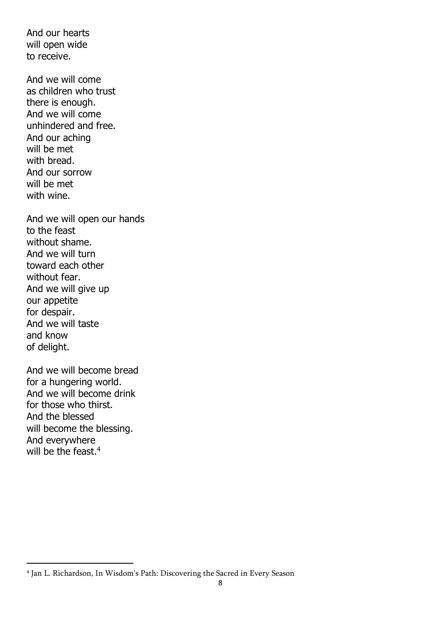And our hearts will open wide to receive.

And we will come as children who trust there is enough. And we will come unhindered and free. And our aching will be met with bread. And our sorrow will be met with wine.

And we will open our hands to the feast without shame. And we will turn toward each other without fear. And we will give up our appetite for despair. And we will taste and know of delight.

And we will become bread for a hungering world. And we will become drink for those who thirst. And the blessed will become the blessing. And everywhere will be the feast  $4$ 

<sup>4</sup> Jan L. Richardson, In Wisdom's Path: Discovering the Sacred in Every Season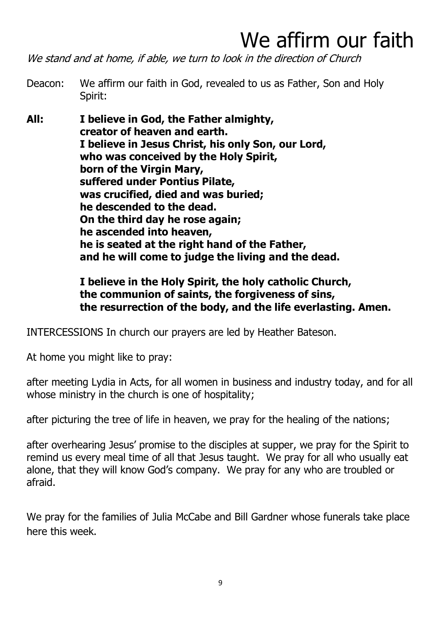# We affirm our faith

We stand and at home, if able, we turn to look in the direction of Church

Deacon: We affirm our faith in God, revealed to us as Father, Son and Holy Spirit:

**All: I believe in God, the Father almighty, creator of heaven and earth. I believe in Jesus Christ, his only Son, our Lord, who was conceived by the Holy Spirit, born of the Virgin Mary, suffered under Pontius Pilate, was crucified, died and was buried; he descended to the dead. On the third day he rose again; he ascended into heaven, he is seated at the right hand of the Father, and he will come to judge the living and the dead.**

#### **I believe in the Holy Spirit, the holy catholic Church, the communion of saints, the forgiveness of sins, the resurrection of the body, and the life everlasting. Amen.**

INTERCESSIONS In church our prayers are led by Heather Bateson.

At home you might like to pray:

after meeting Lydia in Acts, for all women in business and industry today, and for all whose ministry in the church is one of hospitality;

after picturing the tree of life in heaven, we pray for the healing of the nations;

after overhearing Jesus' promise to the disciples at supper, we pray for the Spirit to remind us every meal time of all that Jesus taught. We pray for all who usually eat alone, that they will know God's company. We pray for any who are troubled or afraid.

We pray for the families of Julia McCabe and Bill Gardner whose funerals take place here this week.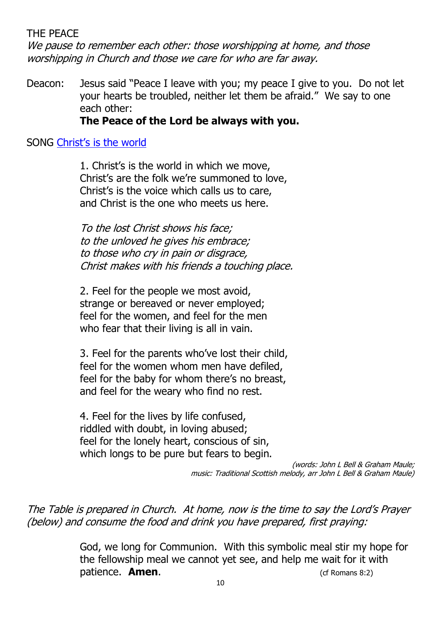#### THE PEACE

We pause to remember each other: those worshipping at home, and those worshipping in Church and those we care for who are far away.

Deacon: Jesus said "Peace I leave with you; my peace I give to you. Do not let your hearts be troubled, neither let them be afraid." We say to one each other:

#### **The Peace of the Lord be always with you.**

#### SONG [Christ's is the world](https://soundcloud.com/all-saints-kings-heath/christs-is-the-world?)

1. Christ's is the world in which we move, Christ's are the folk we're summoned to love, Christ's is the voice which calls us to care, and Christ is the one who meets us here.

To the lost Christ shows his face; to the unloved he gives his embrace; to those who cry in pain or disgrace, Christ makes with his friends a touching place.

2. Feel for the people we most avoid, strange or bereaved or never employed; feel for the women, and feel for the men who fear that their living is all in vain.

3. Feel for the parents who've lost their child, feel for the women whom men have defiled, feel for the baby for whom there's no breast, and feel for the weary who find no rest.

4. Feel for the lives by life confused, riddled with doubt, in loving abused; feel for the lonely heart, conscious of sin, which longs to be pure but fears to begin.

> (words: John L Bell & Graham Maule; music: Traditional Scottish melody, arr John L Bell & Graham Maule)

The Table is prepared in Church. At home, now is the time to say the Lord's Prayer (below) and consume the food and drink you have prepared, first praying:

> God, we long for Communion. With this symbolic meal stir my hope for the fellowship meal we cannot yet see, and help me wait for it with patience. **Amen**. **Compatible 19th Contract Contract Contract Contract Contract Contract Contract Contract Contract Contract Contract Contract Contract Contract Contract Contract Contract Contract Contract Contract Contrac**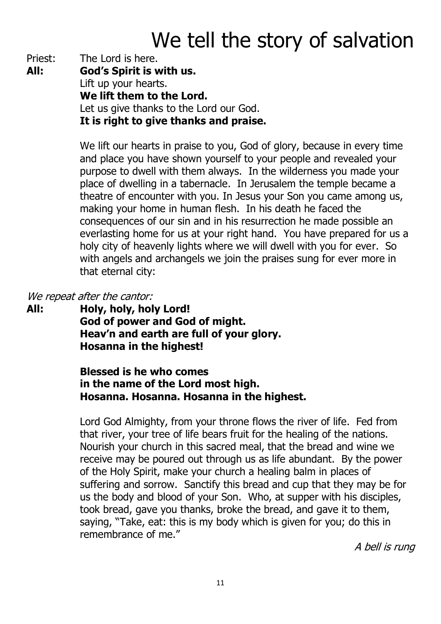# We tell the story of salvation

Priest: The Lord is here. **All: God's Spirit is with us.** Lift up your hearts. **We lift them to the Lord.** Let us give thanks to the Lord our God. **It is right to give thanks and praise.**

> We lift our hearts in praise to you, God of glory, because in every time and place you have shown yourself to your people and revealed your purpose to dwell with them always. In the wilderness you made your place of dwelling in a tabernacle. In Jerusalem the temple became a theatre of encounter with you. In Jesus your Son you came among us, making your home in human flesh. In his death he faced the consequences of our sin and in his resurrection he made possible an everlasting home for us at your right hand. You have prepared for us a holy city of heavenly lights where we will dwell with you for ever. So with angels and archangels we join the praises sung for ever more in that eternal city:

#### We repeat after the cantor:

**All: Holy, holy, holy Lord! God of power and God of might. Heav'n and earth are full of your glory. Hosanna in the highest!**

> **Blessed is he who comes in the name of the Lord most high. Hosanna. Hosanna. Hosanna in the highest.**

Lord God Almighty, from your throne flows the river of life. Fed from that river, your tree of life bears fruit for the healing of the nations. Nourish your church in this sacred meal, that the bread and wine we receive may be poured out through us as life abundant. By the power of the Holy Spirit, make your church a healing balm in places of suffering and sorrow. Sanctify this bread and cup that they may be for us the body and blood of your Son. Who, at supper with his disciples, took bread, gave you thanks, broke the bread, and gave it to them, saying, "Take, eat: this is my body which is given for you; do this in remembrance of me."

A bell is rung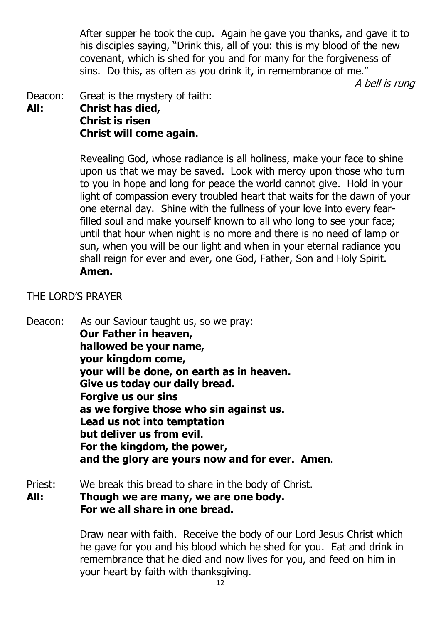After supper he took the cup. Again he gave you thanks, and gave it to his disciples saying, "Drink this, all of you: this is my blood of the new covenant, which is shed for you and for many for the forgiveness of sins. Do this, as often as you drink it, in remembrance of me."

A bell is rung

#### Deacon: Great is the mystery of faith: **All: Christ has died, Christ is risen Christ will come again.**

Revealing God, whose radiance is all holiness, make your face to shine upon us that we may be saved. Look with mercy upon those who turn to you in hope and long for peace the world cannot give. Hold in your light of compassion every troubled heart that waits for the dawn of your one eternal day. Shine with the fullness of your love into every fearfilled soul and make yourself known to all who long to see your face; until that hour when night is no more and there is no need of lamp or sun, when you will be our light and when in your eternal radiance you shall reign for ever and ever, one God, Father, Son and Holy Spirit. **Amen.**

#### THE LORD'S PRAYER

Deacon: As our Saviour taught us, so we pray: **Our Father in heaven, hallowed be your name, your kingdom come, your will be done, on earth as in heaven. Give us today our daily bread. Forgive us our sins as we forgive those who sin against us. Lead us not into temptation but deliver us from evil. For the kingdom, the power, and the glory are yours now and for ever. Amen.**

- Priest: We break this bread to share in the body of Christ.
- **All: Though we are many, we are one body. For we all share in one bread.**

Draw near with faith. Receive the body of our Lord Jesus Christ which he gave for you and his blood which he shed for you. Eat and drink in remembrance that he died and now lives for you, and feed on him in your heart by faith with thanksgiving.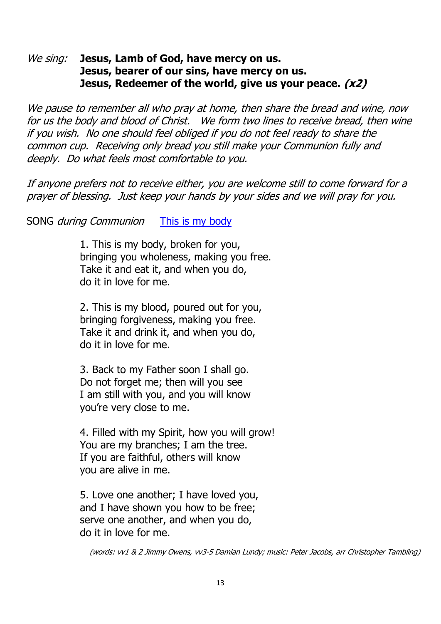#### We sing: **Jesus, Lamb of God, have mercy on us. Jesus, bearer of our sins, have mercy on us. Jesus, Redeemer of the world, give us your peace. (x2)**

We pause to remember all who pray at home, then share the bread and wine, now for us the body and blood of Christ. We form two lines to receive bread, then wine if you wish. No one should feel obliged if you do not feel ready to share the common cup. Receiving only bread you still make your Communion fully and deeply. Do what feels most comfortable to you.

If anyone prefers not to receive either, you are welcome still to come forward for a prayer of blessing. Just keep your hands by your sides and we will pray for you.

SONG *during Communion* [This is my body](https://soundcloud.com/all-saints-kings-heath/this-is-my-body?)

1. This is my body, broken for you, bringing you wholeness, making you free. Take it and eat it, and when you do, do it in love for me.

2. This is my blood, poured out for you, bringing forgiveness, making you free. Take it and drink it, and when you do, do it in love for me.

3. Back to my Father soon I shall go. Do not forget me; then will you see I am still with you, and you will know you're very close to me.

4. Filled with my Spirit, how you will grow! You are my branches; I am the tree. If you are faithful, others will know you are alive in me.

5. Love one another; I have loved you, and I have shown you how to be free; serve one another, and when you do, do it in love for me.

(words: vv1 & 2 Jimmy Owens, vv3-5 Damian Lundy; music: Peter Jacobs, arr Christopher Tambling)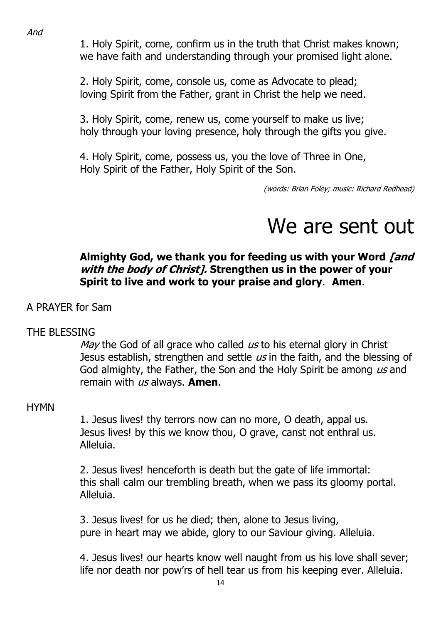1. Holy Spirit, come, confirm us in the truth that Christ makes known; we have faith and understanding through your promised light alone.

2. Holy Spirit, come, console us, come as Advocate to plead; loving Spirit from the Father, grant in Christ the help we need.

3. Holy Spirit, come, renew us, come yourself to make us live; holy through your loving presence, holy through the gifts you give.

4. Holy Spirit, come, possess us, you the love of Three in One, Holy Spirit of the Father, Holy Spirit of the Son.

(words: Brian Foley; music: Richard Redhead)

### We are sent out

#### **Almighty God, we thank you for feeding us with your Word [and with the body of Christ]. Strengthen us in the power of your Spirit to live and work to your praise and glory**. **Amen**.

#### A PRAYER for Sam

#### THE BLESSING

*May* the God of all grace who called  $\mu s$  to his eternal glory in Christ Jesus establish, strengthen and settle  $\mu s$  in the faith, and the blessing of God almighty, the Father, the Son and the Holy Spirit be among us and remain with us always. **Amen**.

#### HYMN

1. Jesus lives! thy terrors now can no more, O death, appal us. Jesus lives! by this we know thou, O grave, canst not enthral us. Alleluia.

2. Jesus lives! henceforth is death but the gate of life immortal: this shall calm our trembling breath, when we pass its gloomy portal. Alleluia.

3. Jesus lives! for us he died; then, alone to Jesus living, pure in heart may we abide, glory to our Saviour giving. Alleluia.

4. Jesus lives! our hearts know well naught from us his love shall sever; life nor death nor pow'rs of hell tear us from his keeping ever. Alleluia.